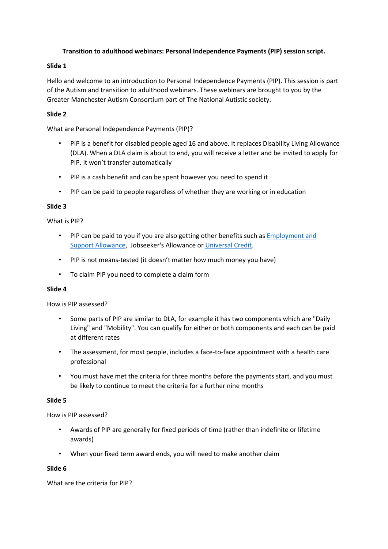# **Transition to adulthood webinars: Personal Independence Payments (PIP) session script.**

# **Slide 1**

Hello and welcome to an introduction to Personal Independence Payments (PIP). This session is part of the Autism and transition to adulthood webinars. These webinars are brought to you by the Greater Manchester Autism Consortium part of The National Autistic society.

# **Slide 2**

What are Personal Independence Payments (PIP)?

- PIP is a benefit for disabled people aged 16 and above. It replaces Disability Living Allowance (DLA). When a DLA claim is about to end, you will receive a letter and be invited to apply for PIP. It won't transfer automatically
- PIP is a cash benefit and can be spent however you need to spend it
- PIP can be paid to people regardless of whether they are working or in education

### **Slide 3**

What is PIP?

- PIP can be paid to you if you are also getting other benefits such as [Employment and](http://www.autism.org.uk/about/benefits-care/benefits/esa.aspx)  [Support Allowance,](http://www.autism.org.uk/about/benefits-care/benefits/esa.aspx) Jobseeker's Allowance or [Universal Credit.](http://www.autism.org.uk/about/benefits-care/benefits/universal-credit.aspx)
- PIP is not means-tested (it doesn't matter how much money you have)
- To claim PIP you need to complete a claim form

### **Slide 4**

How is PIP assessed?

- Some parts of PIP are similar to DLA, for example it has two components which are "Daily Living" and "Mobility". You can qualify for either or both components and each can be paid at different rates
- The assessment, for most people, includes a face-to-face appointment with a health care professional
- You must have met the criteria for three months before the payments start, and you must be likely to continue to meet the criteria for a further nine months

### **Slide 5**

How is PIP assessed?

- Awards of PIP are generally for fixed periods of time (rather than indefinite or lifetime awards)
- When your fixed term award ends, you will need to make another claim

### **Slide 6**

What are the criteria for PIP?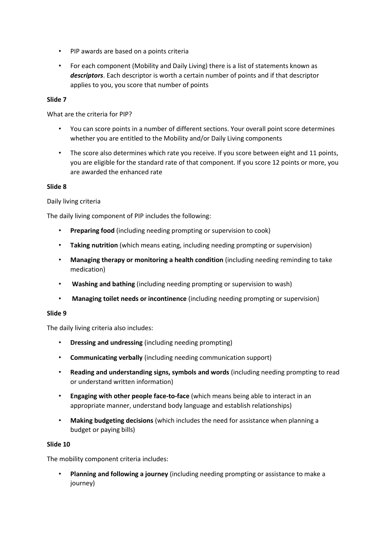- PIP awards are based on a points criteria
- For each component (Mobility and Daily Living) there is a list of statements known as *descriptors*. Each descriptor is worth a certain number of points and if that descriptor applies to you, you score that number of points

## **Slide 7**

What are the criteria for PIP?

- You can score points in a number of different sections. Your overall point score determines whether you are entitled to the Mobility and/or Daily Living components
- The score also determines which rate you receive. If you score between eight and 11 points, you are eligible for the standard rate of that component. If you score 12 points or more, you are awarded the enhanced rate

#### **Slide 8**

#### Daily living criteria

The daily living component of PIP includes the following:

- **Preparing food** (including needing prompting or supervision to cook)
- **Taking nutrition** (which means eating, including needing prompting or supervision)
- **Managing therapy or monitoring a health condition** (including needing reminding to take medication)
- **Washing and bathing** (including needing prompting or supervision to wash)
- **Managing toilet needs or incontinence** (including needing prompting or supervision)

### **Slide 9**

The daily living criteria also includes:

- **Dressing and undressing** (including needing prompting)
- **Communicating verbally** (including needing communication support)
- **Reading and understanding signs, symbols and words** (including needing prompting to read or understand written information)
- **Engaging with other people face-to-face** (which means being able to interact in an appropriate manner, understand body language and establish relationships)
- **Making budgeting decisions** (which includes the need for assistance when planning a budget or paying bills)

#### **Slide 10**

The mobility component criteria includes:

• **Planning and following a journey** (including needing prompting or assistance to make a journey)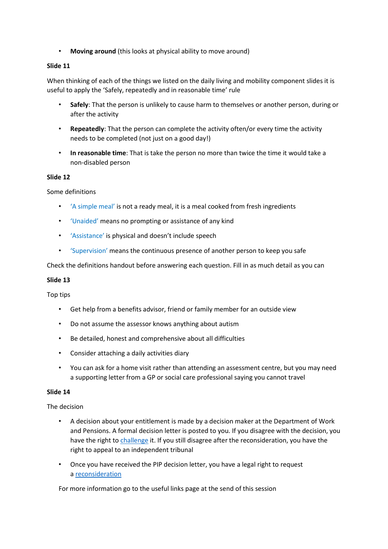• **Moving around** (this looks at physical ability to move around)

## **Slide 11**

When thinking of each of the things we listed on the daily living and mobility component slides it is useful to apply the 'Safely, repeatedly and in reasonable time' rule

- **Safely**: That the person is unlikely to cause harm to themselves or another person, during or after the activity
- **Repeatedly**: That the person can complete the activity often/or every time the activity needs to be completed (not just on a good day!)
- **In reasonable time**: That is take the person no more than twice the time it would take a non-disabled person

### **Slide 12**

Some definitions

- 'A simple meal' is not a ready meal, it is a meal cooked from fresh ingredients
- 'Unaided' means no prompting or assistance of any kind
- 'Assistance' is physical and doesn't include speech
- 'Supervision' means the continuous presence of another person to keep you safe

Check the definitions handout before answering each question. Fill in as much detail as you can

### **Slide 13**

Top tips

- Get help from a benefits advisor, friend or family member for an outside view
- Do not assume the assessor knows anything about autism
- Be detailed, honest and comprehensive about all difficulties
- Consider attaching a daily activities diary
- You can ask for a home visit rather than attending an assessment centre, but you may need a supporting letter from a GP or social care professional saying you cannot travel

### **Slide 14**

### The decision

- A decision about your entitlement is made by a decision maker at the Department of Work and Pensions. A formal decision letter is posted to you. If you disagree with the decision, you have the right to [challenge](http://www.autism.org.uk/about/benefits-care/benefits/pip/challenging.aspx) it. If you still disagree after the reconsideration, you have the right to appeal to an independent tribunal
- Once you have received the PIP decision letter, you have a legal right to request a [reconsideration](http://www.autism.org.uk/about/benefits-care/appeals.aspx)

For more information go to the useful links page at the send of this session